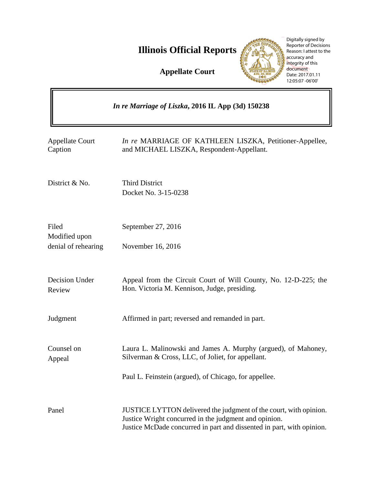**Illinois Official Reports** 

**Appellate Court**



Digitally signed by Reporter of Decisions Reason: I attest to the accuracy and integrity of this document Date: 2017.01.11 12:05:07 -06'00'

| In re Marriage of Liszka, 2016 IL App (3d) 150238 |                                                                                                                                                                                                     |
|---------------------------------------------------|-----------------------------------------------------------------------------------------------------------------------------------------------------------------------------------------------------|
| <b>Appellate Court</b><br>Caption                 | In re MARRIAGE OF KATHLEEN LISZKA, Petitioner-Appellee,<br>and MICHAEL LISZKA, Respondent-Appellant.                                                                                                |
| District & No.                                    | <b>Third District</b><br>Docket No. 3-15-0238                                                                                                                                                       |
| Filed<br>Modified upon<br>denial of rehearing     | September 27, 2016<br>November 16, 2016                                                                                                                                                             |
| Decision Under<br>Review                          | Appeal from the Circuit Court of Will County, No. 12-D-225; the<br>Hon. Victoria M. Kennison, Judge, presiding.                                                                                     |
| Judgment                                          | Affirmed in part; reversed and remanded in part.                                                                                                                                                    |
| Counsel on<br>Appeal                              | Laura L. Malinowski and James A. Murphy (argued), of Mahoney,<br>Silverman & Cross, LLC, of Joliet, for appellant.                                                                                  |
|                                                   | Paul L. Feinstein (argued), of Chicago, for appellee.                                                                                                                                               |
| Panel                                             | JUSTICE LYTTON delivered the judgment of the court, with opinion.<br>Justice Wright concurred in the judgment and opinion.<br>Justice McDade concurred in part and dissented in part, with opinion. |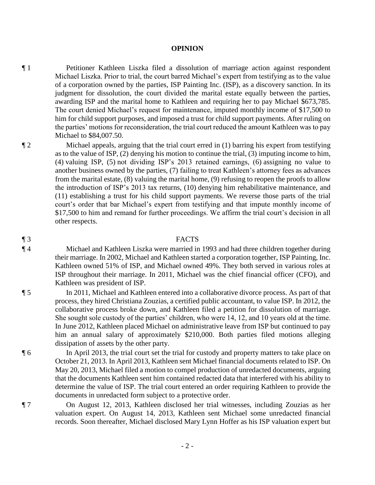**OPINION** 

¶ 1 Petitioner Kathleen Liszka filed a dissolution of marriage action against respondent Michael Liszka. Prior to trial, the court barred Michael's expert from testifying as to the value of a corporation owned by the parties, ISP Painting Inc. (ISP), as a discovery sanction. In its judgment for dissolution, the court divided the marital estate equally between the parties, awarding ISP and the marital home to Kathleen and requiring her to pay Michael \$673,785. The court denied Michael's request for maintenance, imputed monthly income of \$17,500 to him for child support purposes, and imposed a trust for child support payments. After ruling on the parties' motions for reconsideration, the trial court reduced the amount Kathleen was to pay Michael to \$84,007.50.

¶ 2 Michael appeals, arguing that the trial court erred in (1) barring his expert from testifying as to the value of ISP, (2) denying his motion to continue the trial, (3) imputing income to him, (4) valuing ISP, (5) not dividing ISP's 2013 retained earnings, (6) assigning no value to another business owned by the parties, (7) failing to treat Kathleen's attorney fees as advances from the marital estate, (8) valuing the marital home, (9) refusing to reopen the proofs to allow the introduction of ISP's 2013 tax returns, (10) denying him rehabilitative maintenance, and (11) establishing a trust for his child support payments. We reverse those parts of the trial court's order that bar Michael's expert from testifying and that impute monthly income of \$17,500 to him and remand for further proceedings. We affirm the trial court's decision in all other respects.

## ¶ 3 FACTS

# ¶ 4 Michael and Kathleen Liszka were married in 1993 and had three children together during their marriage. In 2002, Michael and Kathleen started a corporation together, ISP Painting, Inc. Kathleen owned 51% of ISP, and Michael owned 49%. They both served in various roles at ISP throughout their marriage. In 2011, Michael was the chief financial officer (CFO), and Kathleen was president of ISP.

¶ 5 In 2011, Michael and Kathleen entered into a collaborative divorce process. As part of that process, they hired Christiana Zouzias, a certified public accountant, to value ISP. In 2012, the collaborative process broke down, and Kathleen filed a petition for dissolution of marriage. She sought sole custody of the parties' children, who were 14, 12, and 10 years old at the time. In June 2012, Kathleen placed Michael on administrative leave from ISP but continued to pay him an annual salary of approximately \$210,000. Both parties filed motions alleging dissipation of assets by the other party.

¶ 6 In April 2013, the trial court set the trial for custody and property matters to take place on October 21, 2013. In April 2013, Kathleen sent Michael financial documents related to ISP. On May 20, 2013, Michael filed a motion to compel production of unredacted documents, arguing that the documents Kathleen sent him contained redacted data that interfered with his ability to determine the value of ISP. The trial court entered an order requiring Kathleen to provide the documents in unredacted form subject to a protective order.

## ¶ 7 On August 12, 2013, Kathleen disclosed her trial witnesses, including Zouzias as her valuation expert. On August 14, 2013, Kathleen sent Michael some unredacted financial records. Soon thereafter, Michael disclosed Mary Lynn Hoffer as his ISP valuation expert but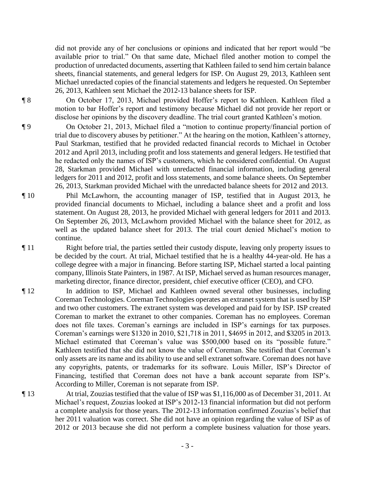did not provide any of her conclusions or opinions and indicated that her report would "be available prior to trial." On that same date, Michael filed another motion to compel the production of unredacted documents, asserting that Kathleen failed to send him certain balance sheets, financial statements, and general ledgers for ISP. On August 29, 2013, Kathleen sent Michael unredacted copies of the financial statements and ledgers he requested. On September 26, 2013, Kathleen sent Michael the 2012-13 balance sheets for ISP.

¶ 8 On October 17, 2013, Michael provided Hoffer's report to Kathleen. Kathleen filed a motion to bar Hoffer's report and testimony because Michael did not provide her report or disclose her opinions by the discovery deadline. The trial court granted Kathleen's motion.

¶ 9 On October 21, 2013, Michael filed a "motion to continue property/financial portion of trial due to discovery abuses by petitioner." At the hearing on the motion, Kathleen's attorney, Paul Starkman, testified that he provided redacted financial records to Michael in October 2012 and April 2013, including profit and loss statements and general ledgers. He testified that he redacted only the names of ISP's customers, which he considered confidential. On August 28, Starkman provided Michael with unredacted financial information, including general ledgers for 2011 and 2012, profit and loss statements, and some balance sheets. On September 26, 2013, Starkman provided Michael with the unredacted balance sheets for 2012 and 2013.

- ¶ 10 Phil McLawhorn, the accounting manager of ISP, testified that in August 2013, he provided financial documents to Michael, including a balance sheet and a profit and loss statement. On August 28, 2013, he provided Michael with general ledgers for 2011 and 2013. On September 26, 2013, McLawhorn provided Michael with the balance sheet for 2012, as well as the updated balance sheet for 2013. The trial court denied Michael's motion to continue.
- ¶ 11 Right before trial, the parties settled their custody dispute, leaving only property issues to be decided by the court. At trial, Michael testified that he is a healthy 44-year-old. He has a college degree with a major in financing. Before starting ISP, Michael started a local painting company, Illinois State Painters, in 1987. At ISP, Michael served as human resources manager, marketing director, finance director, president, chief executive officer (CEO), and CFO.
- ¶ 12 In addition to ISP, Michael and Kathleen owned several other businesses, including Coreman Technologies. Coreman Technologies operates an extranet system that is used by ISP and two other customers. The extranet system was developed and paid for by ISP. ISP created Coreman to market the extranet to other companies. Coreman has no employees. Coreman does not file taxes. Coreman's earnings are included in ISP's earnings for tax purposes. Coreman's earnings were \$1320 in 2010, \$21,718 in 2011, \$4695 in 2012, and \$3205 in 2013. Michael estimated that Coreman's value was \$500,000 based on its "possible future." Kathleen testified that she did not know the value of Coreman. She testified that Coreman's only assets are its name and its ability to use and sell extranet software. Coreman does not have any copyrights, patents, or trademarks for its software. Louis Miller, ISP's Director of Financing, testified that Coreman does not have a bank account separate from ISP's. According to Miller, Coreman is not separate from ISP.
- ¶ 13 At trial, Zouzias testified that the value of ISP was \$1,116,000 as of December 31, 2011. At Michael's request, Zouzias looked at ISP's 2012-13 financial information but did not perform a complete analysis for those years. The 2012-13 information confirmed Zouzias's belief that her 2011 valuation was correct. She did not have an opinion regarding the value of ISP as of 2012 or 2013 because she did not perform a complete business valuation for those years.

- 3 -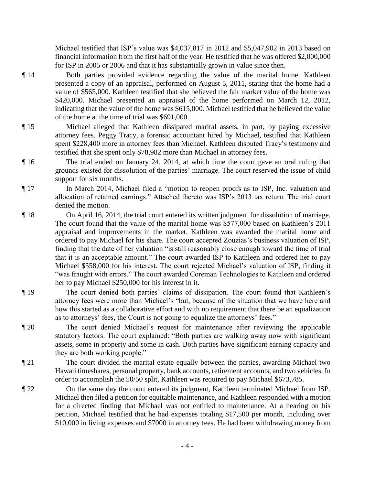Michael testified that ISP's value was \$4,037,817 in 2012 and \$5,047,902 in 2013 based on financial information from the first half of the year. He testified that he was offered \$2,000,000 for ISP in 2005 or 2006 and that it has substantially grown in value since then.

- ¶ 14 Both parties provided evidence regarding the value of the marital home. Kathleen presented a copy of an appraisal, performed on August 5, 2011, stating that the home had a value of \$565,000. Kathleen testified that she believed the fair market value of the home was \$420,000. Michael presented an appraisal of the home performed on March 12, 2012, indicating that the value of the home was \$615,000. Michael testified that he believed the value of the home at the time of trial was \$691,000.
- ¶ 15 Michael alleged that Kathleen dissipated marital assets, in part, by paying excessive attorney fees. Peggy Tracy, a forensic accountant hired by Michael, testified that Kathleen spent \$228,400 more in attorney fees than Michael. Kathleen disputed Tracy's testimony and testified that she spent only \$78,982 more than Michael in attorney fees.
- ¶ 16 The trial ended on January 24, 2014, at which time the court gave an oral ruling that grounds existed for dissolution of the parties' marriage. The court reserved the issue of child support for six months.
- ¶ 17 In March 2014, Michael filed a "motion to reopen proofs as to ISP, Inc. valuation and allocation of retained earnings." Attached thereto was ISP's 2013 tax return. The trial court denied the motion.
- ¶ 18 On April 16, 2014, the trial court entered its written judgment for dissolution of marriage. The court found that the value of the marital home was \$577,000 based on Kathleen's 2011 appraisal and improvements in the market. Kathleen was awarded the marital home and ordered to pay Michael for his share. The court accepted Zouzias's business valuation of ISP, finding that the date of her valuation "is still reasonably close enough toward the time of trial that it is an acceptable amount." The court awarded ISP to Kathleen and ordered her to pay Michael \$558,000 for his interest. The court rejected Michael's valuation of ISP, finding it "was fraught with errors." The court awarded Coreman Technologies to Kathleen and ordered her to pay Michael \$250,000 for his interest in it.
- ¶ 19 The court denied both parties' claims of dissipation. The court found that Kathleen's attorney fees were more than Michael's "but, because of the situation that we have here and how this started as a collaborative effort and with no requirement that there be an equalization as to attorneys' fees, the Court is not going to equalize the attorneys' fees."
- ¶ 20 The court denied Michael's request for maintenance after reviewing the applicable statutory factors. The court explained: "Both parties are walking away now with significant assets, some in property and some in cash. Both parties have significant earning capacity and they are both working people."
- ¶ 21 The court divided the marital estate equally between the parties, awarding Michael two Hawaii timeshares, personal property, bank accounts, retirement accounts, and two vehicles. In order to accomplish the 50/50 split, Kathleen was required to pay Michael \$673,785.
- ¶ 22 On the same day the court entered its judgment, Kathleen terminated Michael from ISP. Michael then filed a petition for equitable maintenance, and Kathleen responded with a motion for a directed finding that Michael was not entitled to maintenance. At a hearing on his petition, Michael testified that he had expenses totaling \$17,500 per month, including over \$10,000 in living expenses and \$7000 in attorney fees. He had been withdrawing money from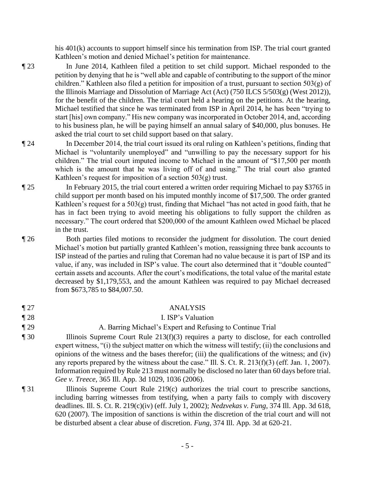his 401(k) accounts to support himself since his termination from ISP. The trial court granted Kathleen's motion and denied Michael's petition for maintenance.

- ¶ 23 In June 2014, Kathleen filed a petition to set child support. Michael responded to the petition by denying that he is "well able and capable of contributing to the support of the minor children." Kathleen also filed a petition for imposition of a trust, pursuant to section  $503(g)$  of the Illinois Marriage and Dissolution of Marriage Act (Act) (750 ILCS 5/503(g) (West 2012)), for the benefit of the children. The trial court held a hearing on the petitions. At the hearing, Michael testified that since he was terminated from ISP in April 2014, he has been "trying to start [his] own company." His new company was incorporated in October 2014, and, according to his business plan, he will be paying himself an annual salary of \$40,000, plus bonuses. He asked the trial court to set child support based on that salary.
- ¶ 24 In December 2014, the trial court issued its oral ruling on Kathleen's petitions, finding that Michael is "voluntarily unemployed" and "unwilling to pay the necessary support for his children." The trial court imputed income to Michael in the amount of "\$17,500 per month which is the amount that he was living off of and using." The trial court also granted Kathleen's request for imposition of a section 503(g) trust.
- ¶ 25 In February 2015, the trial court entered a written order requiring Michael to pay \$3765 in child support per month based on his imputed monthly income of \$17,500. The order granted Kathleen's request for a 503(g) trust, finding that Michael "has not acted in good faith, that he has in fact been trying to avoid meeting his obligations to fully support the children as necessary." The court ordered that \$200,000 of the amount Kathleen owed Michael be placed in the trust.
- ¶ 26 Both parties filed motions to reconsider the judgment for dissolution. The court denied Michael's motion but partially granted Kathleen's motion, reassigning three bank accounts to ISP instead of the parties and ruling that Coreman had no value because it is part of ISP and its value, if any, was included in ISP's value. The court also determined that it "double counted" certain assets and accounts. After the court's modifications, the total value of the marital estate decreased by \$1,179,553, and the amount Kathleen was required to pay Michael decreased from \$673,785 to \$84,007.50.
- ¶ 27 ANALYSIS
- 
- ¶ 28 I. ISP's Valuation
- 

# ¶ 29 A. Barring Michael's Expert and Refusing to Continue Trial

- ¶ 30 Illinois Supreme Court Rule 213(f)(3) requires a party to disclose, for each controlled expert witness, "(i) the subject matter on which the witness will testify; (ii) the conclusions and opinions of the witness and the bases therefor; (iii) the qualifications of the witness; and (iv) any reports prepared by the witness about the case." Ill. S. Ct. R. 213(f)(3) (eff. Jan. 1, 2007). Information required by Rule 213 must normally be disclosed no later than 60 days before trial. *Gee v. Treece*, 365 Ill. App. 3d 1029, 1036 (2006).
- ¶ 31 Illinois Supreme Court Rule 219(c) authorizes the trial court to prescribe sanctions, including barring witnesses from testifying, when a party fails to comply with discovery deadlines. Ill. S. Ct. R. 219(c)(iv) (eff. July 1, 2002); *Nedzvekas v. Fung*, 374 Ill. App. 3d 618, 620 (2007). The imposition of sanctions is within the discretion of the trial court and will not be disturbed absent a clear abuse of discretion. *Fung*, 374 Ill. App. 3d at 620-21.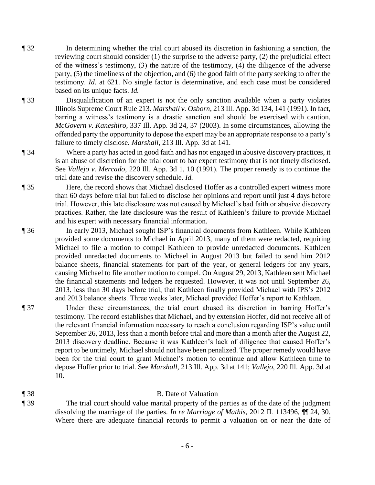- ¶ 32 In determining whether the trial court abused its discretion in fashioning a sanction, the reviewing court should consider (1) the surprise to the adverse party, (2) the prejudicial effect of the witness's testimony, (3) the nature of the testimony, (4) the diligence of the adverse party, (5) the timeliness of the objection, and (6) the good faith of the party seeking to offer the testimony. *Id.* at 621. No single factor is determinative, and each case must be considered based on its unique facts. *Id.*
- ¶ 33 Disqualification of an expert is not the only sanction available when a party violates Illinois Supreme Court Rule 213. *Marshall v. Osborn*, 213 Ill. App. 3d 134, 141 (1991). In fact, barring a witness's testimony is a drastic sanction and should be exercised with caution. *McGovern v. Kaneshiro*, 337 Ill. App. 3d 24, 37 (2003). In some circumstances, allowing the offended party the opportunity to depose the expert may be an appropriate response to a party's failure to timely disclose. *Marshall*, 213 Ill. App. 3d at 141.
- ¶ 34 Where a party has acted in good faith and has not engaged in abusive discovery practices, it is an abuse of discretion for the trial court to bar expert testimony that is not timely disclosed. See *Vallejo v. Mercado*, 220 Ill. App. 3d 1, 10 (1991). The proper remedy is to continue the trial date and revise the discovery schedule. *Id.*
- ¶ 35 Here, the record shows that Michael disclosed Hoffer as a controlled expert witness more than 60 days before trial but failed to disclose her opinions and report until just 4 days before trial. However, this late disclosure was not caused by Michael's bad faith or abusive discovery practices. Rather, the late disclosure was the result of Kathleen's failure to provide Michael and his expert with necessary financial information.
- ¶ 36 In early 2013, Michael sought ISP's financial documents from Kathleen. While Kathleen provided some documents to Michael in April 2013, many of them were redacted, requiring Michael to file a motion to compel Kathleen to provide unredacted documents. Kathleen provided unredacted documents to Michael in August 2013 but failed to send him 2012 balance sheets, financial statements for part of the year, or general ledgers for any years, causing Michael to file another motion to compel. On August 29, 2013, Kathleen sent Michael the financial statements and ledgers he requested. However, it was not until September 26, 2013, less than 30 days before trial, that Kathleen finally provided Michael with IPS's 2012 and 2013 balance sheets. Three weeks later, Michael provided Hoffer's report to Kathleen.
- ¶ 37 Under these circumstances, the trial court abused its discretion in barring Hoffer's testimony. The record establishes that Michael, and by extension Hoffer, did not receive all of the relevant financial information necessary to reach a conclusion regarding ISP's value until September 26, 2013, less than a month before trial and more than a month after the August 22, 2013 discovery deadline. Because it was Kathleen's lack of diligence that caused Hoffer's report to be untimely, Michael should not have been penalized. The proper remedy would have been for the trial court to grant Michael's motion to continue and allow Kathleen time to depose Hoffer prior to trial. See *Marshall*, 213 Ill. App. 3d at 141; *Vallejo*, 220 Ill. App. 3d at 10.
- 

#### ¶ 38 B. Date of Valuation

¶ 39 The trial court should value marital property of the parties as of the date of the judgment dissolving the marriage of the parties. *In re Marriage of Mathis*, 2012 IL 113496, ¶¶ 24, 30. Where there are adequate financial records to permit a valuation on or near the date of

- 6 -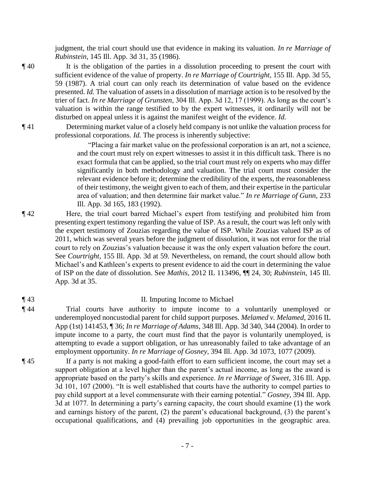judgment, the trial court should use that evidence in making its valuation. *In re Marriage of Rubinstein*, 145 Ill. App. 3d 31, 35 (1986).

- ¶ 40 It is the obligation of the parties in a dissolution proceeding to present the court with sufficient evidence of the value of property. *In re Marriage of Courtright*, 155 Ill. App. 3d 55, 59 (1987). A trial court can only reach its determination of value based on the evidence presented. *Id.* The valuation of assets in a dissolution of marriage action is to be resolved by the trier of fact. *In re Marriage of Grunsten*, 304 Ill. App. 3d 12, 17 (1999). As long as the court's valuation is within the range testified to by the expert witnesses, it ordinarily will not be disturbed on appeal unless it is against the manifest weight of the evidence. *Id.*
- ¶ 41 Determining market value of a closely held company is not unlike the valuation process for professional corporations. *Id.* The process is inherently subjective:

"Placing a fair market value on the professional corporation is an art, not a science, and the court must rely on expert witnesses to assist it in this difficult task. There is no exact formula that can be applied, so the trial court must rely on experts who may differ significantly in both methodology and valuation. The trial court must consider the relevant evidence before it; determine the credibility of the experts, the reasonableness of their testimony, the weight given to each of them, and their expertise in the particular area of valuation; and then determine fair market value." *In re Marriage of Gunn*, 233 Ill. App. 3d 165, 183 (1992).

- ¶ 42 Here, the trial court barred Michael's expert from testifying and prohibited him from presenting expert testimony regarding the value of ISP. As a result, the court was left only with the expert testimony of Zouzias regarding the value of ISP. While Zouzias valued ISP as of 2011, which was several years before the judgment of dissolution, it was not error for the trial court to rely on Zouzias's valuation because it was the only expert valuation before the court. See *Courtright*, 155 Ill. App. 3d at 59. Nevertheless, on remand, the court should allow both Michael's and Kathleen's experts to present evidence to aid the court in determining the value of ISP on the date of dissolution. See *Mathis*, 2012 IL 113496, ¶¶ 24, 30; *Rubinstein*, 145 Ill. App. 3d at 35.
- 

### ¶ 43 II. Imputing Income to Michael

- ¶ 44 Trial courts have authority to impute income to a voluntarily unemployed or underemployed noncustodial parent for child support purposes. *Melamed v. Melamed*, 2016 IL App (1st) 141453, ¶ 36; *In re Marriage of Adams*, 348 Ill. App. 3d 340, 344 (2004). In order to impute income to a party, the court must find that the payor is voluntarily unemployed, is attempting to evade a support obligation, or has unreasonably failed to take advantage of an employment opportunity. *In re Marriage of Gosney*, 394 Ill. App. 3d 1073, 1077 (2009).
- ¶ 45 If a party is not making a good-faith effort to earn sufficient income, the court may set a support obligation at a level higher than the parent's actual income, as long as the award is appropriate based on the party's skills and experience. *In re Marriage of Sweet*, 316 Ill. App. 3d 101, 107 (2000). "It is well established that courts have the authority to compel parties to pay child support at a level commensurate with their earning potential." *Gosney*, 394 Ill. App. 3d at 1077. In determining a party's earning capacity, the court should examine (1) the work and earnings history of the parent, (2) the parent's educational background, (3) the parent's occupational qualifications, and (4) prevailing job opportunities in the geographic area.
	- 7 -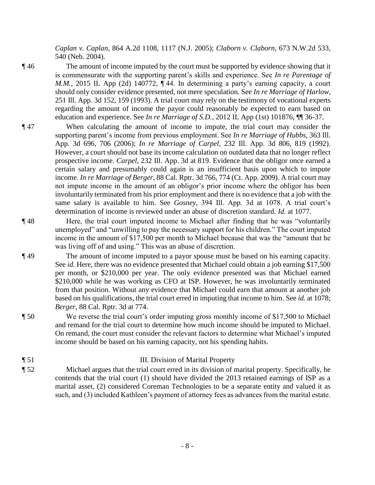*Caplan v. Caplan*, 864 A.2d 1108, 1117 (N.J. 2005); *Claborn v. Claborn*, 673 N.W.2d 533, 540 (Neb. 2004).

¶ 46 The amount of income imputed by the court must be supported by evidence showing that it is commensurate with the supporting parent's skills and experience. See *In re Parentage of M.M.*, 2015 IL App (2d) 140772, 144. In determining a party's earning capacity, a court should only consider evidence presented, not mere speculation. See *In re Marriage of Harlow*, 251 Ill. App. 3d 152, 159 (1993). A trial court may rely on the testimony of vocational experts regarding the amount of income the payor could reasonably be expected to earn based on education and experience. See *In re Marriage of S.D.*, 2012 IL App (1st) 101876, ¶¶ 36-37.

- ¶ 47 When calculating the amount of income to impute, the trial court may consider the supporting parent's income from previous employment. See *In re Marriage of Hubbs*, 363 Ill. App. 3d 696, 706 (2006); *In re Marriage of Carpel*, 232 Ill. App. 3d 806, 819 (1992). However, a court should not base its income calculation on outdated data that no longer reflect prospective income. *Carpel*, 232 Ill. App. 3d at 819. Evidence that the obligor once earned a certain salary and presumably could again is an insufficient basis upon which to impute income. *In re Marriage of Berger*, 88 Cal. Rptr. 3d 766, 774 (Ct. App. 2009). A trial court may not impute income in the amount of an obligor's prior income where the obligor has been involuntarily terminated from his prior employment and there is no evidence that a job with the same salary is available to him. See *Gosney*, 394 Ill. App. 3d at 1078. A trial court's determination of income is reviewed under an abuse of discretion standard. *Id.* at 1077.
- ¶ 48 Here, the trial court imputed income to Michael after finding that he was "voluntarily unemployed" and "unwilling to pay the necessary support for his children." The court imputed income in the amount of \$17,500 per month to Michael because that was the "amount that he was living off of and using." This was an abuse of discretion.
- ¶ 49 The amount of income imputed to a payor spouse must be based on his earning capacity. See *id.* Here, there was no evidence presented that Michael could obtain a job earning \$17,500 per month, or \$210,000 per year. The only evidence presented was that Michael earned \$210,000 while he was working as CFO at ISP. However, he was involuntarily terminated from that position. Without any evidence that Michael could earn that amount at another job based on his qualifications, the trial court erred in imputing that income to him. See *id.* at 1078; *Berger*, 88 Cal. Rptr. 3d at 774.
- ¶ 50 We reverse the trial court's order imputing gross monthly income of \$17,500 to Michael and remand for the trial court to determine how much income should be imputed to Michael. On remand, the court must consider the relevant factors to determine what Michael's imputed income should be based on his earning capacity, not his spending habits.
- ¶ 51 III. Division of Marital Property
- ¶ 52 Michael argues that the trial court erred in its division of marital property. Specifically, he contends that the trial court (1) should have divided the 2013 retained earnings of ISP as a marital asset, (2) considered Coreman Technologies to be a separate entity and valued it as such, and (3) included Kathleen's payment of attorney fees as advances from the marital estate.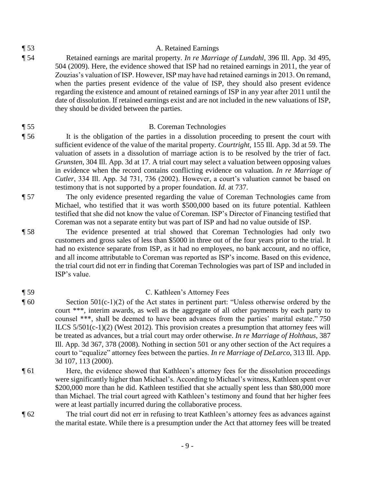#### ¶ 53 A. Retained Earnings

¶ 54 Retained earnings are marital property. *In re Marriage of Lundahl*, 396 Ill. App. 3d 495, 504 (2009). Here, the evidence showed that ISP had no retained earnings in 2011, the year of Zouzias's valuation of ISP. However, ISP may have had retained earnings in 2013. On remand, when the parties present evidence of the value of ISP, they should also present evidence regarding the existence and amount of retained earnings of ISP in any year after 2011 until the date of dissolution. If retained earnings exist and are not included in the new valuations of ISP, they should be divided between the parties.

#### ¶ 55 B. Coreman Technologies

- ¶ 56 It is the obligation of the parties in a dissolution proceeding to present the court with sufficient evidence of the value of the marital property. *Courtright*, 155 Ill. App. 3d at 59. The valuation of assets in a dissolution of marriage action is to be resolved by the trier of fact. *Grunsten*, 304 Ill. App. 3d at 17. A trial court may select a valuation between opposing values in evidence when the record contains conflicting evidence on valuation. *In re Marriage of Cutler*, 334 Ill. App. 3d 731, 736 (2002). However, a court's valuation cannot be based on testimony that is not supported by a proper foundation. *Id.* at 737.
- ¶ 57 The only evidence presented regarding the value of Coreman Technologies came from Michael, who testified that it was worth \$500,000 based on its future potential. Kathleen testified that she did not know the value of Coreman. ISP's Director of Financing testified that Coreman was not a separate entity but was part of ISP and had no value outside of ISP.
- ¶ 58 The evidence presented at trial showed that Coreman Technologies had only two customers and gross sales of less than \$5000 in three out of the four years prior to the trial. It had no existence separate from ISP, as it had no employees, no bank account, and no office, and all income attributable to Coreman was reported as ISP's income. Based on this evidence, the trial court did not err in finding that Coreman Technologies was part of ISP and included in ISP's value.
- ¶ 59 C. Kathleen's Attorney Fees ¶ 60 Section 501(c-1)(2) of the Act states in pertinent part: "Unless otherwise ordered by the
	- court \*\*\*, interim awards, as well as the aggregate of all other payments by each party to counsel \*\*\*, shall be deemed to have been advances from the parties' marital estate." 750 ILCS 5/501(c-1)(2) (West 2012). This provision creates a presumption that attorney fees will be treated as advances, but a trial court may order otherwise. *In re Marriage of Holthaus*, 387 Ill. App. 3d 367, 378 (2008). Nothing in section 501 or any other section of the Act requires a court to "equalize" attorney fees between the parties. *In re Marriage of DeLarco*, 313 Ill. App. 3d 107, 113 (2000).
- ¶ 61 Here, the evidence showed that Kathleen's attorney fees for the dissolution proceedings were significantly higher than Michael's. According to Michael's witness, Kathleen spent over \$200,000 more than he did. Kathleen testified that she actually spent less than \$80,000 more than Michael. The trial court agreed with Kathleen's testimony and found that her higher fees were at least partially incurred during the collaborative process.
- ¶ 62 The trial court did not err in refusing to treat Kathleen's attorney fees as advances against the marital estate. While there is a presumption under the Act that attorney fees will be treated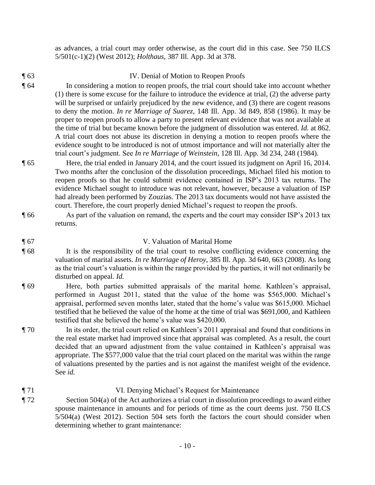as advances, a trial court may order otherwise, as the court did in this case. See 750 ILCS 5/501(c-1)(2) (West 2012); *Holthaus*, 387 Ill. App. 3d at 378.

¶ 63 IV. Denial of Motion to Reopen Proofs

¶ 64 In considering a motion to reopen proofs, the trial court should take into account whether (1) there is some excuse for the failure to introduce the evidence at trial, (2) the adverse party will be surprised or unfairly prejudiced by the new evidence, and (3) there are cogent reasons to deny the motion. *In re Marriage of Suarez*, 148 Ill. App. 3d 849, 858 (1986). It may be proper to reopen proofs to allow a party to present relevant evidence that was not available at the time of trial but became known before the judgment of dissolution was entered. *Id.* at 862. A trial court does not abuse its discretion in denying a motion to reopen proofs where the evidence sought to be introduced is not of utmost importance and will not materially alter the trial court's judgment. See *In re Marriage of Weinstein*, 128 Ill. App. 3d 234, 248 (1984).

- ¶ 65 Here, the trial ended in January 2014, and the court issued its judgment on April 16, 2014. Two months after the conclusion of the dissolution proceedings, Michael filed his motion to reopen proofs so that he could submit evidence contained in ISP's 2013 tax returns. The evidence Michael sought to introduce was not relevant, however, because a valuation of ISP had already been performed by Zouzias. The 2013 tax documents would not have assisted the court. Therefore, the court properly denied Michael's request to reopen the proofs.
- ¶ 66 As part of the valuation on remand, the experts and the court may consider ISP's 2013 tax returns.

# ¶ 67 V. Valuation of Marital Home

- ¶ 68 It is the responsibility of the trial court to resolve conflicting evidence concerning the valuation of marital assets. *In re Marriage of Heroy*, 385 Ill. App. 3d 640, 663 (2008). As long as the trial court's valuation is within the range provided by the parties, it will not ordinarily be disturbed on appeal. *Id.*
- ¶ 69 Here, both parties submitted appraisals of the marital home. Kathleen's appraisal, performed in August 2011, stated that the value of the home was \$565,000. Michael's appraisal, performed seven months later, stated that the home's value was \$615,000. Michael testified that he believed the value of the home at the time of trial was \$691,000, and Kathleen testified that she believed the home's value was \$420,000.
- ¶ 70 In its order, the trial court relied on Kathleen's 2011 appraisal and found that conditions in the real estate market had improved since that appraisal was completed. As a result, the court decided that an upward adjustment from the value contained in Kathleen's appraisal was appropriate. The \$577,000 value that the trial court placed on the marital was within the range of valuations presented by the parties and is not against the manifest weight of the evidence. See *id.*
- ¶ 71 VI. Denying Michael's Request for Maintenance ¶ 72 Section 504(a) of the Act authorizes a trial court in dissolution proceedings to award either spouse maintenance in amounts and for periods of time as the court deems just. 750 ILCS 5/504(a) (West 2012). Section 504 sets forth the factors the court should consider when determining whether to grant maintenance: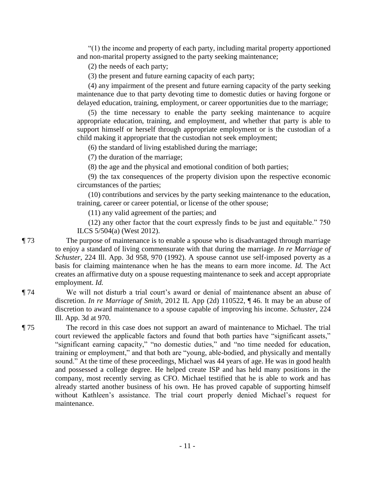"(1) the income and property of each party, including marital property apportioned and non-marital property assigned to the party seeking maintenance;

(2) the needs of each party;

(3) the present and future earning capacity of each party;

 (4) any impairment of the present and future earning capacity of the party seeking maintenance due to that party devoting time to domestic duties or having forgone or delayed education, training, employment, or career opportunities due to the marriage;

 (5) the time necessary to enable the party seeking maintenance to acquire appropriate education, training, and employment, and whether that party is able to support himself or herself through appropriate employment or is the custodian of a child making it appropriate that the custodian not seek employment;

(6) the standard of living established during the marriage;

(7) the duration of the marriage;

(8) the age and the physical and emotional condition of both parties;

 (9) the tax consequences of the property division upon the respective economic circumstances of the parties;

 (10) contributions and services by the party seeking maintenance to the education, training, career or career potential, or license of the other spouse;

(11) any valid agreement of the parties; and

 (12) any other factor that the court expressly finds to be just and equitable." 750 ILCS 5/504(a) (West 2012).

¶ 73 The purpose of maintenance is to enable a spouse who is disadvantaged through marriage to enjoy a standard of living commensurate with that during the marriage. *In re Marriage of Schuster*, 224 Ill. App. 3d 958, 970 (1992). A spouse cannot use self-imposed poverty as a basis for claiming maintenance when he has the means to earn more income. *Id.* The Act creates an affirmative duty on a spouse requesting maintenance to seek and accept appropriate employment. *Id.*

¶ 74 We will not disturb a trial court's award or denial of maintenance absent an abuse of discretion. *In re Marriage of Smith*, 2012 IL App (2d) 110522, ¶ 46. It may be an abuse of discretion to award maintenance to a spouse capable of improving his income. *Schuster*, 224 Ill. App. 3d at 970.

¶ 75 The record in this case does not support an award of maintenance to Michael. The trial court reviewed the applicable factors and found that both parties have "significant assets," "significant earning capacity," "no domestic duties," and "no time needed for education, training or employment," and that both are "young, able-bodied, and physically and mentally sound." At the time of these proceedings, Michael was 44 years of age. He was in good health and possessed a college degree. He helped create ISP and has held many positions in the company, most recently serving as CFO. Michael testified that he is able to work and has already started another business of his own. He has proved capable of supporting himself without Kathleen's assistance. The trial court properly denied Michael's request for maintenance.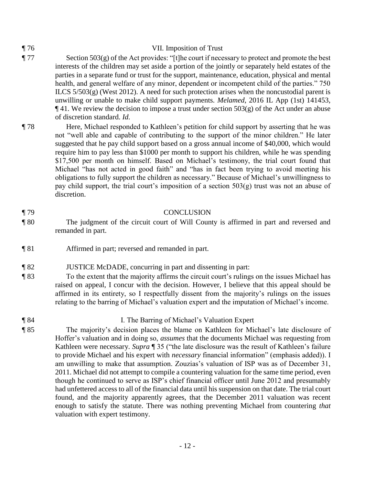# ¶ 76 VII. Imposition of Trust

- ¶ 77 Section 503(g) of the Act provides: "[t]he court if necessary to protect and promote the best interests of the children may set aside a portion of the jointly or separately held estates of the parties in a separate fund or trust for the support, maintenance, education, physical and mental health, and general welfare of any minor, dependent or incompetent child of the parties." 750 ILCS  $5/503(g)$  (West 2012). A need for such protection arises when the noncustodial parent is unwilling or unable to make child support payments. *Melamed*, 2016 IL App (1st) 141453,  $\P$ 41. We review the decision to impose a trust under section 503(g) of the Act under an abuse of discretion standard. *Id.*
- ¶ 78 Here, Michael responded to Kathleen's petition for child support by asserting that he was not "well able and capable of contributing to the support of the minor children." He later suggested that he pay child support based on a gross annual income of \$40,000, which would require him to pay less than \$1000 per month to support his children, while he was spending \$17,500 per month on himself. Based on Michael's testimony, the trial court found that Michael "has not acted in good faith" and "has in fact been trying to avoid meeting his obligations to fully support the children as necessary." Because of Michael's unwillingness to pay child support, the trial court's imposition of a section 503(g) trust was not an abuse of discretion.

#### ¶ 79 CONCLUSION

- ¶ 80 The judgment of the circuit court of Will County is affirmed in part and reversed and remanded in part.
- ¶ 81 Affirmed in part; reversed and remanded in part.
- ¶ 82 JUSTICE McDADE, concurring in part and dissenting in part:
- ¶ 83 To the extent that the majority affirms the circuit court's rulings on the issues Michael has raised on appeal, I concur with the decision. However, I believe that this appeal should be affirmed in its entirety, so I respectfully dissent from the majority's rulings on the issues relating to the barring of Michael's valuation expert and the imputation of Michael's income.
- 

### ¶ 84 I. The Barring of Michael's Valuation Expert

¶ 85 The majority's decision places the blame on Kathleen for Michael's late disclosure of Hoffer's valuation and in doing so, *assumes* that the documents Michael was requesting from Kathleen were necessary. *Supra* ¶ 35 ("the late disclosure was the result of Kathleen's failure to provide Michael and his expert with *necessary* financial information" (emphasis added)). I am unwilling to make that assumption. Zouzias's valuation of ISP was as of December 31, 2011. Michael did not attempt to compile a countering valuation for the same time period, even though he continued to serve as ISP's chief financial officer until June 2012 and presumably had unfettered access to all of the financial data until his suspension on that date. The trial court found, and the majority apparently agrees, that the December 2011 valuation was recent enough to satisfy the statute. There was nothing preventing Michael from countering *that*  valuation with expert testimony.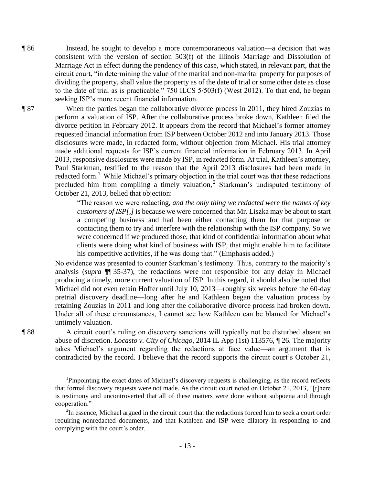¶ 86 Instead, he sought to develop a more contemporaneous valuation—a decision that was consistent with the version of section 503(f) of the Illinois Marriage and Dissolution of Marriage Act in effect during the pendency of this case, which stated, in relevant part, that the circuit court, "in determining the value of the marital and non-marital property for purposes of dividing the property, shall value the property as of the date of trial or some other date as close to the date of trial as is practicable." 750 ILCS 5/503(f) (West 2012). To that end, he began seeking ISP's more recent financial information.

¶ 87 When the parties began the collaborative divorce process in 2011, they hired Zouzias to perform a valuation of ISP. After the collaborative process broke down, Kathleen filed the divorce petition in February 2012. It appears from the record that Michael's former attorney requested financial information from ISP between October 2012 and into January 2013. Those disclosures were made, in redacted form, without objection from Michael. His trial attorney made additional requests for ISP's current financial information in February 2013. In April 2013, responsive disclosures were made by ISP, in redacted form. At trial, Kathleen's attorney, Paul Starkman, testified to the reason that the April 2013 disclosures had been made in redacted form.<sup>1</sup> While Michael's primary objection in the trial court was that these redactions precluded him from compiling a timely valuation,<sup>2</sup> Starkman's undisputed testimony of October 21, 2013, belied that objection:

> "The reason we were redacting, *and the only thing we redacted were the names of key customers of ISP[,]* is because we were concerned that Mr. Liszka may be about to start a competing business and had been either contacting them for that purpose or contacting them to try and interfere with the relationship with the ISP company. So we were concerned if we produced those, that kind of confidential information about what clients were doing what kind of business with ISP, that might enable him to facilitate his competitive activities, if he was doing that." (Emphasis added.)

No evidence was presented to counter Starkman's testimony. Thus, contrary to the majority's analysis (*supra* ¶¶ 35-37), the redactions were not responsible for any delay in Michael producing a timely, more current valuation of ISP. In this regard, it should also be noted that Michael did not even retain Hoffer until July 10, 2013—roughly six weeks before the 60-day pretrial discovery deadline—long after he and Kathleen began the valuation process by retaining Zouzias in 2011 and long after the collaborative divorce process had broken down. Under all of these circumstances, I cannot see how Kathleen can be blamed for Michael's untimely valuation.

 $\overline{a}$ 

¶ 88 A circuit court's ruling on discovery sanctions will typically not be disturbed absent an abuse of discretion. *Locasto v. City of Chicago*, 2014 IL App (1st) 113576, ¶ 26. The majority takes Michael's argument regarding the redactions at face value—an argument that is contradicted by the record. I believe that the record supports the circuit court's October 21,

<sup>&</sup>lt;sup>1</sup>Pinpointing the exact dates of Michael's discovery requests is challenging, as the record reflects that formal discovery requests were not made. As the circuit court noted on October 21, 2013, "[t]here is testimony and uncontroverted that all of these matters were done without subpoena and through cooperation."

 $2^2$ In essence, Michael argued in the circuit court that the redactions forced him to seek a court order requiring nonredacted documents, and that Kathleen and ISP were dilatory in responding to and complying with the court's order.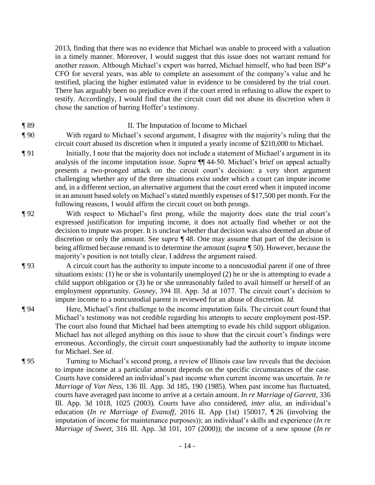2013, finding that there was no evidence that Michael was unable to proceed with a valuation in a timely manner. Moreover, I would suggest that this issue does not warrant remand for another reason. Although Michael's expert was barred, Michael himself, who had been ISP's CFO for several years, was able to complete an assessment of the company's value and he testified, placing the higher estimated value in evidence to be considered by the trial court. There has arguably been no prejudice even if the court erred in refusing to allow the expert to testify. Accordingly, I would find that the circuit court did not abuse its discretion when it chose the sanction of barring Hoffer's testimony.

### ¶ 89 II. The Imputation of Income to Michael

¶ 90 With regard to Michael's second argument, I disagree with the majority's ruling that the circuit court abused its discretion when it imputed a yearly income of \$210,000 to Michael.

- ¶ 91 Initially, I note that the majority does not include a statement of Michael's argument in its analysis of the income imputation issue. *Supra* ¶¶ 44-50. Michael's brief on appeal actually presents a two-pronged attack on the circuit court's decision: a very short argument challenging whether any of the three situations exist under which a court can impute income and, in a different section, an alternative argument that the court erred when it imputed income in an amount based solely on Michael's stated monthly expenses of \$17,500 per month. For the following reasons, I would affirm the circuit court on both prongs.
- ¶ 92 With respect to Michael's first prong, while the majority does state the trial court's expressed justification for imputing income, it does not actually find whether or not the decision to impute was proper. It is unclear whether that decision was also deemed an abuse of discretion or only the amount. See *supra* ¶ 48. One may assume that part of the decision is being affirmed because remand is to determine the amount (*supra ¶* 50). However, because the majority's position is not totally clear, I address the argument raised.
- ¶ 93 A circuit court has the authority to impute income to a noncustodial parent if one of three situations exists: (1) he or she is voluntarily unemployed (2) he or she is attempting to evade a child support obligation or (3) he or she unreasonably failed to avail himself or herself of an employment opportunity. *Gosney*, 394 Ill. App. 3d at 1077. The circuit court's decision to impute income to a noncustodial parent is reviewed for an abuse of discretion. *Id.*
- ¶ 94 Here, Michael's first challenge to the income imputation fails. The circuit court found that Michael's testimony was not credible regarding his attempts to secure employment post-ISP. The court also found that Michael had been attempting to evade his child support obligation. Michael has not alleged anything on this issue to show that the circuit court's findings were erroneous. Accordingly, the circuit court unquestionably had the authority to impute income for Michael. See *id.*
- ¶ 95 Turning to Michael's second prong, a review of Illinois case law reveals that the decision to impute income at a particular amount depends on the specific circumstances of the case. Courts have considered an individual's past income when current income was uncertain. *In re Marriage of Van Ness*, 136 Ill. App. 3d 185, 190 (1985). When past income has fluctuated, courts have averaged past income to arrive at a certain amount. *In re Marriage of Garrett*, 336 Ill. App. 3d 1018, 1025 (2003). Courts have also considered, *inter alia*, an individual's education (*In re Marriage of Evanoff*, 2016 IL App (1st) 150017, ¶ 26 (involving the imputation of income for maintenance purposes)); an individual's skills and experience (*In re Marriage of Sweet*, 316 Ill. App. 3d 101, 107 (2000)); the income of a new spouse (*In re*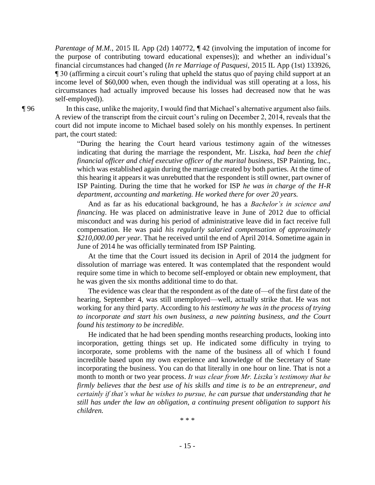*Parentage of M.M.*, 2015 IL App (2d) 140772,  $\P$  42 (involving the imputation of income for the purpose of contributing toward educational expenses)); and whether an individual's financial circumstances had changed (*In re Marriage of Pasquesi*, 2015 IL App (1st) 133926, ¶ 30 (affirming a circuit court's ruling that upheld the status quo of paying child support at an income level of \$60,000 when, even though the individual was still operating at a loss, his circumstances had actually improved because his losses had decreased now that he was self-employed)).

¶ 96 In this case, unlike the majority, I would find that Michael's alternative argument also fails. A review of the transcript from the circuit court's ruling on December 2, 2014, reveals that the court did not impute income to Michael based solely on his monthly expenses. In pertinent part, the court stated:

> "During the hearing the Court heard various testimony again of the witnesses indicating that during the marriage the respondent, Mr. Liszka, *had been the chief financial officer and chief executive officer of the marital business*, ISP Painting, Inc., which was established again during the marriage created by both parties. At the time of this hearing it appears it was unrebutted that the respondent is still owner, part owner of ISP Painting. During the time that he worked for ISP *he was in charge of the H-R department, accounting and marketing. He worked there for over 20 years.*

> And as far as his educational background, he has a *Bachelor's in science and financing*. He was placed on administrative leave in June of 2012 due to official misconduct and was during his period of administrative leave did in fact receive full compensation. He was paid *his regularly salaried compensation of approximately \$210,000.00 per year*. That he received until the end of April 2014. Sometime again in June of 2014 he was officially terminated from ISP Painting.

> At the time that the Court issued its decision in April of 2014 the judgment for dissolution of marriage was entered. It was contemplated that the respondent would require some time in which to become self-employed or obtain new employment, that he was given the six months additional time to do that.

> The evidence was clear that the respondent as of the date of—of the first date of the hearing, September 4, was still unemployed—well, actually strike that. He was not working for any third party. According to *his testimony he was in the process of trying to incorporate and start his own business, a new painting business, and the Court found his testimony to be incredible.*

> He indicated that he had been spending months researching products, looking into incorporation, getting things set up. He indicated some difficulty in trying to incorporate, some problems with the name of the business all of which I found incredible based upon my own experience and knowledge of the Secretary of State incorporating the business. You can do that literally in one hour on line. That is not a month to month or two year process. *It was clear from Mr. Liszka's testimony that he firmly believes that the best use of his skills and time is to be an entrepreneur, and certainly if that's what he wishes to pursue, he can pursue that understanding that he still has under the law an obligation, a continuing present obligation to support his children.*

 $* * *$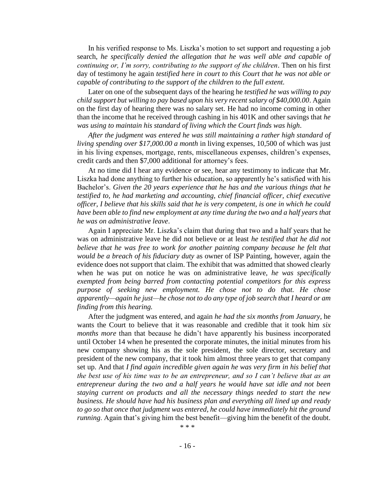In his verified response to Ms. Liszka's motion to set support and requesting a job search, *he specifically denied the allegation that he was well able and capable of continuing or, I'm sorry, contributing to the support of the children*. Then on his first day of testimony he again *testified here in court to this Court that he was not able or capable of contributing to the support of the children to the full extent.*

 Later on one of the subsequent days of the hearing he *testified he was willing to pay child support but willing to pay based upon his very recent salary of \$40,000.00*. Again on the first day of hearing there was no salary set. He had no income coming in other than the income that he received through cashing in his 401K and other savings that *he was using to maintain his standard of living which the Court finds was high*.

*After the judgment was entered he was still maintaining a rather high standard of living spending over \$17,000.00 a month* in living expenses, 10,500 of which was just in his living expenses, mortgage, rents, miscellaneous expenses, children's expenses, credit cards and then \$7,000 additional for attorney's fees.

 At no time did I hear any evidence or see, hear any testimony to indicate that Mr. Liszka had done anything to further his education, so apparently he's satisfied with his Bachelor's. *Given the 20 years experience that he has and the various things that he testified to, he had marketing and accounting, chief financial officer, chief executive officer, I believe that his skills said that he is very competent, is one in which he could*  have been able to find new employment at any time during the two and a half years that *he was on administrative leave*.

Again I appreciate Mr. Liszka's claim that during that two and a half years that he was on administrative leave he did not believe or at least *he testified that he did not believe that he was free to work for another painting company because he felt that would be a breach of his fiduciary duty* as owner of ISP Painting, however, again the evidence does not support that claim. The exhibit that was admitted that showed clearly when he was put on notice he was on administrative leave, *he was specifically exempted from being barred from contacting potential competitors for this express purpose of seeking new employment. He chose not to do that. He chose apparently—again he just—he chose not to do any type of job search that I heard or am finding from this hearing.*

 After the judgment was entered, and again *he had the six months from January*, he wants the Court to believe that it was reasonable and credible that it took him *six months more* than that because he didn't have apparently his business incorporated until October 14 when he presented the corporate minutes, the initial minutes from his new company showing his as the sole president, the sole director, secretary and president of the new company, that it took him almost three years to get that company set up. And that *I find again incredible given again he was very firm in his belief that the best use of his time was to be an entrepreneur, and so I can't believe that as an entrepreneur during the two and a half years he would have sat idle and not been staying current on products and all the necessary things needed to start the new business. He should have had his business plan and everything all lined up and ready*  to go so that once that judgment was entered, he could have immediately hit the ground *running*. Again that's giving him the best benefit—giving him the benefit of the doubt.

 $* * *$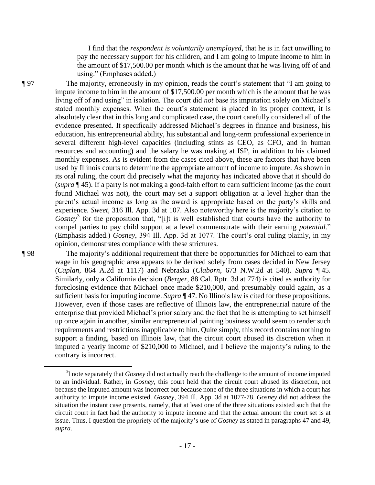I find that the *respondent is voluntarily unemployed*, that he is in fact unwilling to pay the necessary support for his children, and I am going to impute income to him in the amount of \$17,500.00 per month which is the amount that he was living off of and using." (Emphases added.)

¶ 97 The majority, erroneously in my opinion, reads the court's statement that "I am going to impute income to him in the amount of \$17,500.00 per month which is the amount that he was living off of and using" in isolation. The court did *not* base its imputation solely on Michael's stated monthly expenses. When the court's statement is placed in its proper context, it is absolutely clear that in this long and complicated case, the court carefully considered all of the evidence presented. It specifically addressed Michael's degrees in finance and business, his education, his entrepreneurial ability, his substantial and long-term professional experience in several different high-level capacities (including stints as CEO, as CFO, and in human resources and accounting) and the salary he was making at ISP, in addition to his claimed monthly expenses. As is evident from the cases cited above, these are factors that have been used by Illinois courts to determine the appropriate amount of income to impute. As shown in its oral ruling, the court did precisely what the majority has indicated above that it should do (*supra* ¶ 45). If a party is not making a good-faith effort to earn sufficient income (as the court found Michael was not), the court may set a support obligation at a level higher than the parent's actual income as long as the award is appropriate based on the party's skills and experience. *Sweet*, 316 Ill. App. 3d at 107*.* Also noteworthy here is the majority's citation to Gosney<sup>3</sup> for the proposition that, "[i]t is well established that courts have the authority to compel parties to pay child support at a level commensurate with their earning *potential*." (Emphasis added.) *Gosney*, 394 Ill. App. 3d at 1077. The court's oral ruling plainly, in my opinion, demonstrates compliance with these strictures.

 $\overline{a}$ 

¶ 98 The majority's additional requirement that there be opportunities for Michael to earn that wage in his geographic area appears to be derived solely from cases decided in New Jersey (*Caplan*, 864 A.2d at 1117) and Nebraska (*Claborn*, 673 N.W.2d at 540). *Supra* ¶ 45. Similarly, only a California decision (*Berger*, 88 Cal. Rptr. 3d at 774) is cited as authority for foreclosing evidence that Michael once made \$210,000, and presumably could again, as a sufficient basis for imputing income. *Supra* ¶ 47. No Illinois law is cited for these propositions. However, even if those cases are reflective of Illinois law, the entrepreneurial nature of the enterprise that provided Michael's prior salary and the fact that he is attempting to set himself up once again in another, similar entrepreneurial painting business would seem to render such requirements and restrictions inapplicable to him. Quite simply, this record contains nothing to support a finding, based on Illinois law, that the circuit court abused its discretion when it imputed a yearly income of \$210,000 to Michael, and I believe the majority's ruling to the contrary is incorrect.

<sup>3</sup> I note separately that *Gosney* did not actually reach the challenge to the amount of income imputed to an individual. Rather, in *Gosney*, this court held that the circuit court abused its discretion, not because the imputed amount was incorrect but because none of the three situations in which a court has authority to impute income existed. *Gosney*, 394 Ill. App. 3d at 1077-78. *Gosney* did not address the situation the instant case presents, namely, that at least one of the three situations existed such that the circuit court in fact had the authority to impute income and that the actual amount the court set is at issue. Thus, I question the propriety of the majority's use of *Gosney* as stated in paragraphs 47 and 49, *supra*.